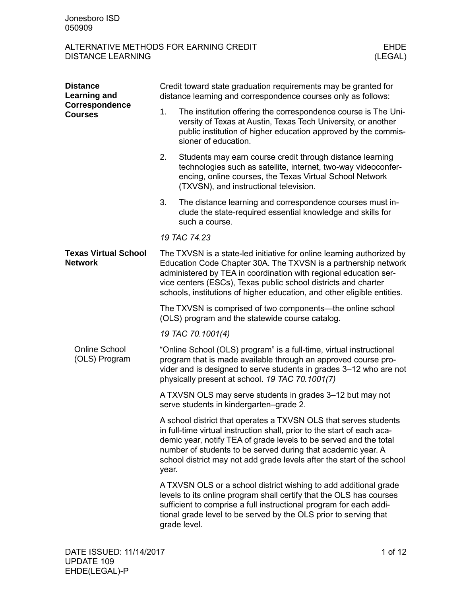| <b>Distance</b><br><b>Learning and</b>        | Credit toward state graduation requirements may be granted for<br>distance learning and correspondence courses only as follows:                                                                                                                                                                                                                          |                                                                                                                                                                                                                                                                                                                                                            |  |  |
|-----------------------------------------------|----------------------------------------------------------------------------------------------------------------------------------------------------------------------------------------------------------------------------------------------------------------------------------------------------------------------------------------------------------|------------------------------------------------------------------------------------------------------------------------------------------------------------------------------------------------------------------------------------------------------------------------------------------------------------------------------------------------------------|--|--|
| Correspondence<br><b>Courses</b>              | 1.                                                                                                                                                                                                                                                                                                                                                       | The institution offering the correspondence course is The Uni-<br>versity of Texas at Austin, Texas Tech University, or another<br>public institution of higher education approved by the commis-<br>sioner of education.                                                                                                                                  |  |  |
|                                               | 2.                                                                                                                                                                                                                                                                                                                                                       | Students may earn course credit through distance learning<br>technologies such as satellite, internet, two-way videoconfer-<br>encing, online courses, the Texas Virtual School Network<br>(TXVSN), and instructional television.                                                                                                                          |  |  |
|                                               | 3.                                                                                                                                                                                                                                                                                                                                                       | The distance learning and correspondence courses must in-<br>clude the state-required essential knowledge and skills for<br>such a course.                                                                                                                                                                                                                 |  |  |
|                                               |                                                                                                                                                                                                                                                                                                                                                          | 19 TAC 74.23                                                                                                                                                                                                                                                                                                                                               |  |  |
| <b>Texas Virtual School</b><br><b>Network</b> | The TXVSN is a state-led initiative for online learning authorized by<br>Education Code Chapter 30A. The TXVSN is a partnership network<br>administered by TEA in coordination with regional education ser-<br>vice centers (ESCs), Texas public school districts and charter<br>schools, institutions of higher education, and other eligible entities. |                                                                                                                                                                                                                                                                                                                                                            |  |  |
|                                               | The TXVSN is comprised of two components—the online school<br>(OLS) program and the statewide course catalog.                                                                                                                                                                                                                                            |                                                                                                                                                                                                                                                                                                                                                            |  |  |
|                                               |                                                                                                                                                                                                                                                                                                                                                          | 19 TAC 70.1001(4)                                                                                                                                                                                                                                                                                                                                          |  |  |
| <b>Online School</b><br>(OLS) Program         |                                                                                                                                                                                                                                                                                                                                                          | "Online School (OLS) program" is a full-time, virtual instructional<br>program that is made available through an approved course pro-<br>vider and is designed to serve students in grades 3-12 who are not<br>physically present at school. 19 TAC 70.1001(7)                                                                                             |  |  |
|                                               |                                                                                                                                                                                                                                                                                                                                                          | A TXVSN OLS may serve students in grades 3-12 but may not<br>serve students in kindergarten-grade 2.                                                                                                                                                                                                                                                       |  |  |
|                                               | year.                                                                                                                                                                                                                                                                                                                                                    | A school district that operates a TXVSN OLS that serves students<br>in full-time virtual instruction shall, prior to the start of each aca-<br>demic year, notify TEA of grade levels to be served and the total<br>number of students to be served during that academic year. A<br>school district may not add grade levels after the start of the school |  |  |
|                                               |                                                                                                                                                                                                                                                                                                                                                          | A TXVSN OLS or a school district wishing to add additional grade<br>levels to its online program shall certify that the OLS has courses<br>sufficient to comprise a full instructional program for each addi-<br>tional grade level to be served by the OLS prior to serving that<br>grade level.                                                          |  |  |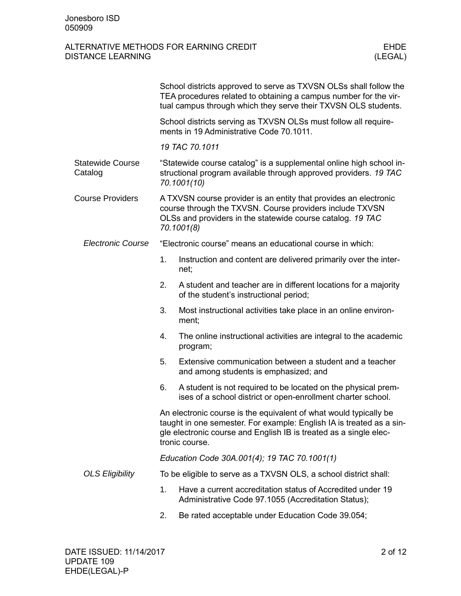|                                    |                                                                                                                                                                                                                                  | School districts approved to serve as TXVSN OLSs shall follow the<br>TEA procedures related to obtaining a campus number for the vir-<br>tual campus through which they serve their TXVSN OLS students. |  |  |
|------------------------------------|----------------------------------------------------------------------------------------------------------------------------------------------------------------------------------------------------------------------------------|---------------------------------------------------------------------------------------------------------------------------------------------------------------------------------------------------------|--|--|
|                                    | School districts serving as TXVSN OLSs must follow all require-<br>ments in 19 Administrative Code 70.1011.                                                                                                                      |                                                                                                                                                                                                         |  |  |
|                                    |                                                                                                                                                                                                                                  | 19 TAC 70.1011                                                                                                                                                                                          |  |  |
| <b>Statewide Course</b><br>Catalog | "Statewide course catalog" is a supplemental online high school in-<br>structional program available through approved providers. 19 TAC<br>70.1001(10)                                                                           |                                                                                                                                                                                                         |  |  |
| <b>Course Providers</b>            | A TXVSN course provider is an entity that provides an electronic<br>course through the TXVSN. Course providers include TXVSN<br>OLSs and providers in the statewide course catalog. 19 TAC<br>70.1001(8)                         |                                                                                                                                                                                                         |  |  |
| <b>Electronic Course</b>           |                                                                                                                                                                                                                                  | "Electronic course" means an educational course in which:                                                                                                                                               |  |  |
|                                    | 1.                                                                                                                                                                                                                               | Instruction and content are delivered primarily over the inter-<br>net;                                                                                                                                 |  |  |
|                                    | 2.                                                                                                                                                                                                                               | A student and teacher are in different locations for a majority<br>of the student's instructional period;                                                                                               |  |  |
|                                    | 3.                                                                                                                                                                                                                               | Most instructional activities take place in an online environ-<br>ment;                                                                                                                                 |  |  |
|                                    | 4.                                                                                                                                                                                                                               | The online instructional activities are integral to the academic<br>program;                                                                                                                            |  |  |
|                                    | 5.                                                                                                                                                                                                                               | Extensive communication between a student and a teacher<br>and among students is emphasized; and                                                                                                        |  |  |
|                                    | 6.                                                                                                                                                                                                                               | A student is not required to be located on the physical prem-<br>ises of a school district or open-enrollment charter school.                                                                           |  |  |
|                                    | An electronic course is the equivalent of what would typically be<br>taught in one semester. For example: English IA is treated as a sin-<br>gle electronic course and English IB is treated as a single elec-<br>tronic course. |                                                                                                                                                                                                         |  |  |
|                                    | Education Code 30A.001(4); 19 TAC 70.1001(1)                                                                                                                                                                                     |                                                                                                                                                                                                         |  |  |
| <b>OLS Eligibility</b>             | To be eligible to serve as a TXVSN OLS, a school district shall:                                                                                                                                                                 |                                                                                                                                                                                                         |  |  |
|                                    | 1.                                                                                                                                                                                                                               | Have a current accreditation status of Accredited under 19<br>Administrative Code 97.1055 (Accreditation Status);                                                                                       |  |  |
|                                    | 2.                                                                                                                                                                                                                               | Be rated acceptable under Education Code 39.054;                                                                                                                                                        |  |  |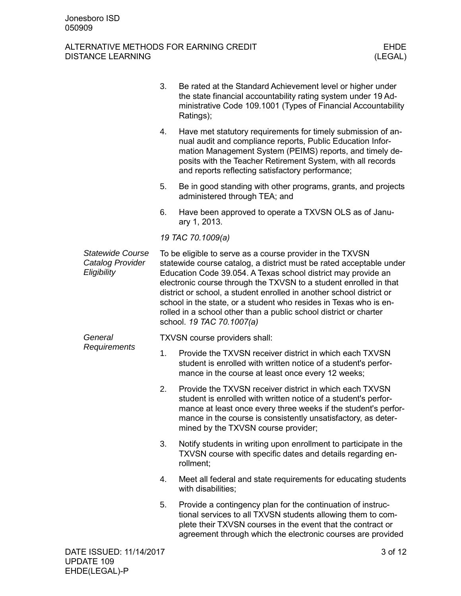|                                                            | 3. | Be rated at the Standard Achievement level or higher under<br>the state financial accountability rating system under 19 Ad-<br>ministrative Code 109.1001 (Types of Financial Accountability<br>Ratings);                                                                                                                                                                                                                                                                                                             |
|------------------------------------------------------------|----|-----------------------------------------------------------------------------------------------------------------------------------------------------------------------------------------------------------------------------------------------------------------------------------------------------------------------------------------------------------------------------------------------------------------------------------------------------------------------------------------------------------------------|
|                                                            | 4. | Have met statutory requirements for timely submission of an-<br>nual audit and compliance reports, Public Education Infor-<br>mation Management System (PEIMS) reports, and timely de-<br>posits with the Teacher Retirement System, with all records<br>and reports reflecting satisfactory performance;                                                                                                                                                                                                             |
|                                                            | 5. | Be in good standing with other programs, grants, and projects<br>administered through TEA; and                                                                                                                                                                                                                                                                                                                                                                                                                        |
|                                                            | 6. | Have been approved to operate a TXVSN OLS as of Janu-<br>ary 1, 2013.                                                                                                                                                                                                                                                                                                                                                                                                                                                 |
|                                                            |    | 19 TAC 70.1009(a)                                                                                                                                                                                                                                                                                                                                                                                                                                                                                                     |
| <b>Statewide Course</b><br>Catalog Provider<br>Eligibility |    | To be eligible to serve as a course provider in the TXVSN<br>statewide course catalog, a district must be rated acceptable under<br>Education Code 39.054. A Texas school district may provide an<br>electronic course through the TXVSN to a student enrolled in that<br>district or school, a student enrolled in another school district or<br>school in the state, or a student who resides in Texas who is en-<br>rolled in a school other than a public school district or charter<br>school. 19 TAC 70.1007(a) |
| General                                                    |    | TXVSN course providers shall:                                                                                                                                                                                                                                                                                                                                                                                                                                                                                         |
| Requirements                                               | 1. | Provide the TXVSN receiver district in which each TXVSN<br>student is enrolled with written notice of a student's perfor-<br>mance in the course at least once every 12 weeks;                                                                                                                                                                                                                                                                                                                                        |
|                                                            | 2. | Provide the TXVSN receiver district in which each TXVSN<br>student is enrolled with written notice of a student's perfor-<br>mance at least once every three weeks if the student's perfor-<br>mance in the course is consistently unsatisfactory, as deter-<br>mined by the TXVSN course provider;                                                                                                                                                                                                                   |
|                                                            | 3. | Notify students in writing upon enrollment to participate in the<br>TXVSN course with specific dates and details regarding en-<br>rollment;                                                                                                                                                                                                                                                                                                                                                                           |
|                                                            | 4. | Meet all federal and state requirements for educating students<br>with disabilities;                                                                                                                                                                                                                                                                                                                                                                                                                                  |
|                                                            | 5. | Provide a contingency plan for the continuation of instruc-<br>tional services to all TXVSN students allowing them to com-<br>plete their TXVSN courses in the event that the contract or<br>agreement through which the electronic courses are provided                                                                                                                                                                                                                                                              |
| DATE ISSUED: 11/14/2017                                    |    | 3 of 12                                                                                                                                                                                                                                                                                                                                                                                                                                                                                                               |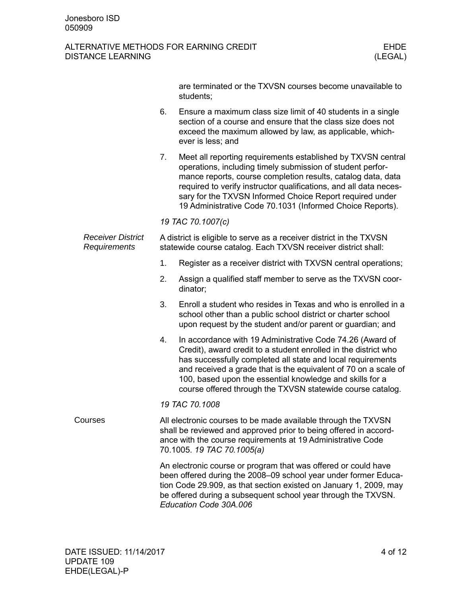|                                          |                                                                                                                                                                                                                                | are terminated or the TXVSN courses become unavailable to<br>students;                                                                                                                                                                                                                                                                                                                   |  |
|------------------------------------------|--------------------------------------------------------------------------------------------------------------------------------------------------------------------------------------------------------------------------------|------------------------------------------------------------------------------------------------------------------------------------------------------------------------------------------------------------------------------------------------------------------------------------------------------------------------------------------------------------------------------------------|--|
|                                          | 6.                                                                                                                                                                                                                             | Ensure a maximum class size limit of 40 students in a single<br>section of a course and ensure that the class size does not<br>exceed the maximum allowed by law, as applicable, which-<br>ever is less; and                                                                                                                                                                             |  |
|                                          | 7.                                                                                                                                                                                                                             | Meet all reporting requirements established by TXVSN central<br>operations, including timely submission of student perfor-<br>mance reports, course completion results, catalog data, data<br>required to verify instructor qualifications, and all data neces-<br>sary for the TXVSN Informed Choice Report required under<br>19 Administrative Code 70.1031 (Informed Choice Reports). |  |
|                                          |                                                                                                                                                                                                                                | 19 TAC 70.1007(c)                                                                                                                                                                                                                                                                                                                                                                        |  |
| <b>Receiver District</b><br>Requirements | A district is eligible to serve as a receiver district in the TXVSN<br>statewide course catalog. Each TXVSN receiver district shall:                                                                                           |                                                                                                                                                                                                                                                                                                                                                                                          |  |
|                                          | 1.                                                                                                                                                                                                                             | Register as a receiver district with TXVSN central operations;                                                                                                                                                                                                                                                                                                                           |  |
|                                          | 2.                                                                                                                                                                                                                             | Assign a qualified staff member to serve as the TXVSN coor-<br>dinator;                                                                                                                                                                                                                                                                                                                  |  |
|                                          | 3.                                                                                                                                                                                                                             | Enroll a student who resides in Texas and who is enrolled in a<br>school other than a public school district or charter school<br>upon request by the student and/or parent or guardian; and                                                                                                                                                                                             |  |
|                                          | 4.                                                                                                                                                                                                                             | In accordance with 19 Administrative Code 74.26 (Award of<br>Credit), award credit to a student enrolled in the district who<br>has successfully completed all state and local requirements<br>and received a grade that is the equivalent of 70 on a scale of<br>100, based upon the essential knowledge and skills for a<br>course offered through the TXVSN statewide course catalog. |  |
|                                          |                                                                                                                                                                                                                                | 19 TAC 70.1008                                                                                                                                                                                                                                                                                                                                                                           |  |
| Courses                                  | All electronic courses to be made available through the TXVSN<br>shall be reviewed and approved prior to being offered in accord-<br>ance with the course requirements at 19 Administrative Code<br>70.1005. 19 TAC 70.1005(a) |                                                                                                                                                                                                                                                                                                                                                                                          |  |
|                                          |                                                                                                                                                                                                                                | An electronic course or program that was offered or could have<br>been offered during the 2008-09 school year under former Educa-<br>tion Code 29.909, as that section existed on January 1, 2009, may<br>be offered during a subsequent school year through the TXVSN.<br>Education Code 30A.006                                                                                        |  |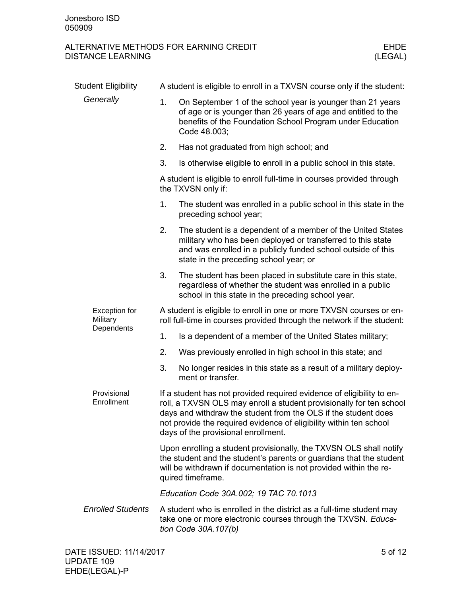| <b>Student Eligibility</b>                     | A student is eligible to enroll in a TXVSN course only if the student:                                                                                                                                                                                                                                                      |                                                                                                                                                                                                                                      |  |
|------------------------------------------------|-----------------------------------------------------------------------------------------------------------------------------------------------------------------------------------------------------------------------------------------------------------------------------------------------------------------------------|--------------------------------------------------------------------------------------------------------------------------------------------------------------------------------------------------------------------------------------|--|
| Generally                                      | 1.                                                                                                                                                                                                                                                                                                                          | On September 1 of the school year is younger than 21 years<br>of age or is younger than 26 years of age and entitled to the<br>benefits of the Foundation School Program under Education<br>Code 48.003;                             |  |
|                                                | 2.                                                                                                                                                                                                                                                                                                                          | Has not graduated from high school; and                                                                                                                                                                                              |  |
|                                                | 3.                                                                                                                                                                                                                                                                                                                          | Is otherwise eligible to enroll in a public school in this state.                                                                                                                                                                    |  |
|                                                |                                                                                                                                                                                                                                                                                                                             | A student is eligible to enroll full-time in courses provided through<br>the TXVSN only if:                                                                                                                                          |  |
|                                                | 1.                                                                                                                                                                                                                                                                                                                          | The student was enrolled in a public school in this state in the<br>preceding school year;                                                                                                                                           |  |
|                                                | 2.                                                                                                                                                                                                                                                                                                                          | The student is a dependent of a member of the United States<br>military who has been deployed or transferred to this state<br>and was enrolled in a publicly funded school outside of this<br>state in the preceding school year; or |  |
|                                                | 3.                                                                                                                                                                                                                                                                                                                          | The student has been placed in substitute care in this state,<br>regardless of whether the student was enrolled in a public<br>school in this state in the preceding school year.                                                    |  |
| <b>Exception for</b><br>Military<br>Dependents | A student is eligible to enroll in one or more TXVSN courses or en-<br>roll full-time in courses provided through the network if the student:                                                                                                                                                                               |                                                                                                                                                                                                                                      |  |
|                                                | 1.                                                                                                                                                                                                                                                                                                                          | Is a dependent of a member of the United States military;                                                                                                                                                                            |  |
|                                                | 2.                                                                                                                                                                                                                                                                                                                          | Was previously enrolled in high school in this state; and                                                                                                                                                                            |  |
|                                                | 3.                                                                                                                                                                                                                                                                                                                          | No longer resides in this state as a result of a military deploy-<br>ment or transfer.                                                                                                                                               |  |
| Provisional<br>Enrollment                      | If a student has not provided required evidence of eligibility to en-<br>roll, a TXVSN OLS may enroll a student provisionally for ten school<br>days and withdraw the student from the OLS if the student does<br>not provide the required evidence of eligibility within ten school<br>days of the provisional enrollment. |                                                                                                                                                                                                                                      |  |
|                                                |                                                                                                                                                                                                                                                                                                                             | Upon enrolling a student provisionally, the TXVSN OLS shall notify<br>the student and the student's parents or guardians that the student<br>will be withdrawn if documentation is not provided within the re-<br>quired timeframe.  |  |
|                                                | Education Code 30A.002; 19 TAC 70.1013                                                                                                                                                                                                                                                                                      |                                                                                                                                                                                                                                      |  |
| <b>Enrolled Students</b>                       |                                                                                                                                                                                                                                                                                                                             | A student who is enrolled in the district as a full-time student may<br>take one or more electronic courses through the TXVSN. Educa-<br>tion Code 30A.107(b)                                                                        |  |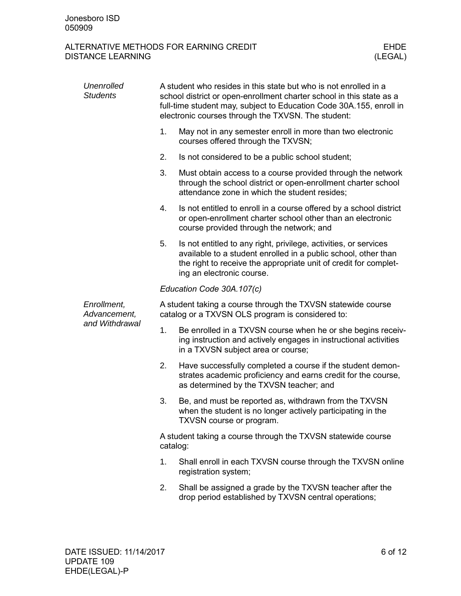| Unenrolled<br><b>Students</b> | A student who resides in this state but who is not enrolled in a<br>school district or open-enrollment charter school in this state as a<br>full-time student may, subject to Education Code 30A.155, enroll in<br>electronic courses through the TXVSN. The student: |                                                                                                                                                                                                                                     |  |  |
|-------------------------------|-----------------------------------------------------------------------------------------------------------------------------------------------------------------------------------------------------------------------------------------------------------------------|-------------------------------------------------------------------------------------------------------------------------------------------------------------------------------------------------------------------------------------|--|--|
|                               | 1.                                                                                                                                                                                                                                                                    | May not in any semester enroll in more than two electronic<br>courses offered through the TXVSN;                                                                                                                                    |  |  |
|                               | 2.                                                                                                                                                                                                                                                                    | Is not considered to be a public school student;                                                                                                                                                                                    |  |  |
|                               | 3.                                                                                                                                                                                                                                                                    | Must obtain access to a course provided through the network<br>through the school district or open-enrollment charter school<br>attendance zone in which the student resides;                                                       |  |  |
|                               | 4.                                                                                                                                                                                                                                                                    | Is not entitled to enroll in a course offered by a school district<br>or open-enrollment charter school other than an electronic<br>course provided through the network; and                                                        |  |  |
|                               | 5.                                                                                                                                                                                                                                                                    | Is not entitled to any right, privilege, activities, or services<br>available to a student enrolled in a public school, other than<br>the right to receive the appropriate unit of credit for complet-<br>ing an electronic course. |  |  |
|                               | Education Code 30A.107(c)                                                                                                                                                                                                                                             |                                                                                                                                                                                                                                     |  |  |
| Enrollment,<br>Advancement,   |                                                                                                                                                                                                                                                                       | A student taking a course through the TXVSN statewide course<br>catalog or a TXVSN OLS program is considered to:                                                                                                                    |  |  |
| and Withdrawal                | 1.                                                                                                                                                                                                                                                                    | Be enrolled in a TXVSN course when he or she begins receiv-<br>ing instruction and actively engages in instructional activities<br>in a TXVSN subject area or course;                                                               |  |  |
|                               | 2.                                                                                                                                                                                                                                                                    | Have successfully completed a course if the student demon-<br>strates academic proficiency and earns credit for the course,<br>as determined by the TXVSN teacher; and                                                              |  |  |
|                               | 3.                                                                                                                                                                                                                                                                    | Be, and must be reported as, withdrawn from the TXVSN<br>when the student is no longer actively participating in the<br>TXVSN course or program.                                                                                    |  |  |
|                               | A student taking a course through the TXVSN statewide course<br>catalog:                                                                                                                                                                                              |                                                                                                                                                                                                                                     |  |  |
|                               | 1.                                                                                                                                                                                                                                                                    | Shall enroll in each TXVSN course through the TXVSN online<br>registration system;                                                                                                                                                  |  |  |
|                               | 2.                                                                                                                                                                                                                                                                    | Shall be assigned a grade by the TXVSN teacher after the<br>drop period established by TXVSN central operations;                                                                                                                    |  |  |
|                               |                                                                                                                                                                                                                                                                       |                                                                                                                                                                                                                                     |  |  |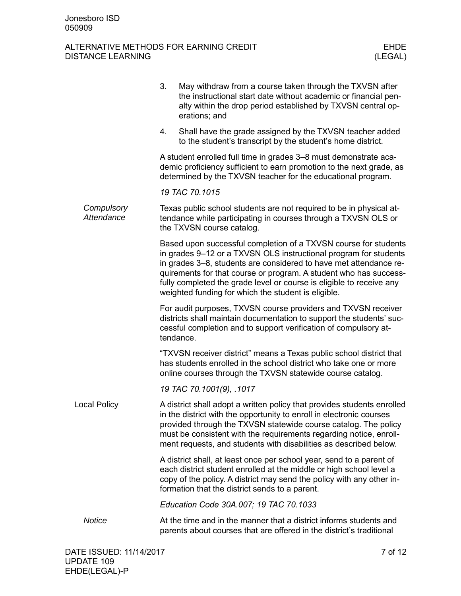|                          | 3. | May withdraw from a course taken through the TXVSN after<br>the instructional start date without academic or financial pen-<br>alty within the drop period established by TXVSN central op-<br>erations; and                                                                                                                                                                                                 |
|--------------------------|----|--------------------------------------------------------------------------------------------------------------------------------------------------------------------------------------------------------------------------------------------------------------------------------------------------------------------------------------------------------------------------------------------------------------|
|                          | 4. | Shall have the grade assigned by the TXVSN teacher added<br>to the student's transcript by the student's home district.                                                                                                                                                                                                                                                                                      |
|                          |    | A student enrolled full time in grades 3-8 must demonstrate aca-<br>demic proficiency sufficient to earn promotion to the next grade, as<br>determined by the TXVSN teacher for the educational program.                                                                                                                                                                                                     |
|                          |    | 19 TAC 70.1015                                                                                                                                                                                                                                                                                                                                                                                               |
| Compulsory<br>Attendance |    | Texas public school students are not required to be in physical at-<br>tendance while participating in courses through a TXVSN OLS or<br>the TXVSN course catalog.                                                                                                                                                                                                                                           |
|                          |    | Based upon successful completion of a TXVSN course for students<br>in grades 9-12 or a TXVSN OLS instructional program for students<br>in grades 3–8, students are considered to have met attendance re-<br>quirements for that course or program. A student who has success-<br>fully completed the grade level or course is eligible to receive any<br>weighted funding for which the student is eligible. |
|                          |    | For audit purposes, TXVSN course providers and TXVSN receiver<br>districts shall maintain documentation to support the students' suc-<br>cessful completion and to support verification of compulsory at-<br>tendance.                                                                                                                                                                                       |
|                          |    | "TXVSN receiver district" means a Texas public school district that<br>has students enrolled in the school district who take one or more<br>online courses through the TXVSN statewide course catalog.                                                                                                                                                                                                       |
|                          |    | 19 TAC 70.1001(9), .1017                                                                                                                                                                                                                                                                                                                                                                                     |
| <b>Local Policy</b>      |    | A district shall adopt a written policy that provides students enrolled<br>in the district with the opportunity to enroll in electronic courses<br>provided through the TXVSN statewide course catalog. The policy<br>must be consistent with the requirements regarding notice, enroll-<br>ment requests, and students with disabilities as described below.                                                |
|                          |    | A district shall, at least once per school year, send to a parent of<br>each district student enrolled at the middle or high school level a<br>copy of the policy. A district may send the policy with any other in-<br>formation that the district sends to a parent.                                                                                                                                       |
|                          |    | Education Code 30A.007; 19 TAC 70.1033                                                                                                                                                                                                                                                                                                                                                                       |
| <b>Notice</b>            |    | At the time and in the manner that a district informs students and<br>parents about courses that are offered in the district's traditional                                                                                                                                                                                                                                                                   |
|                          |    |                                                                                                                                                                                                                                                                                                                                                                                                              |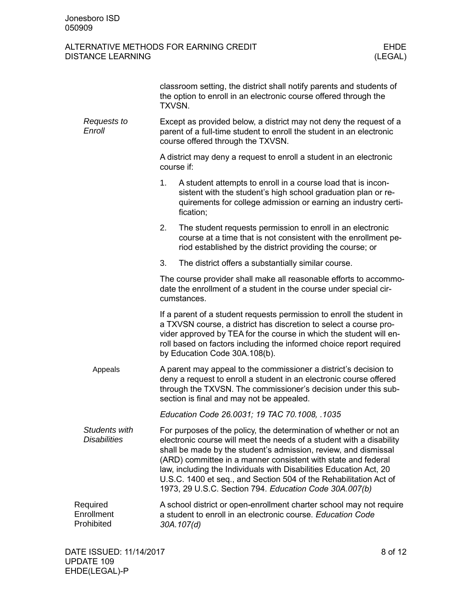|                                      | TXVSN.                                                                                                                                                                          | classroom setting, the district shall notify parents and students of<br>the option to enroll in an electronic course offered through the                                                                                                                                                                                                                                                                                                                                            |  |
|--------------------------------------|---------------------------------------------------------------------------------------------------------------------------------------------------------------------------------|-------------------------------------------------------------------------------------------------------------------------------------------------------------------------------------------------------------------------------------------------------------------------------------------------------------------------------------------------------------------------------------------------------------------------------------------------------------------------------------|--|
| Requests to<br>Enroll                | Except as provided below, a district may not deny the request of a<br>parent of a full-time student to enroll the student in an electronic<br>course offered through the TXVSN. |                                                                                                                                                                                                                                                                                                                                                                                                                                                                                     |  |
|                                      | A district may deny a request to enroll a student in an electronic<br>course if:                                                                                                |                                                                                                                                                                                                                                                                                                                                                                                                                                                                                     |  |
|                                      | 1.                                                                                                                                                                              | A student attempts to enroll in a course load that is incon-<br>sistent with the student's high school graduation plan or re-<br>quirements for college admission or earning an industry certi-<br>fication;                                                                                                                                                                                                                                                                        |  |
|                                      | 2.                                                                                                                                                                              | The student requests permission to enroll in an electronic<br>course at a time that is not consistent with the enrollment pe-<br>riod established by the district providing the course; or                                                                                                                                                                                                                                                                                          |  |
|                                      | 3.                                                                                                                                                                              | The district offers a substantially similar course.                                                                                                                                                                                                                                                                                                                                                                                                                                 |  |
|                                      |                                                                                                                                                                                 | The course provider shall make all reasonable efforts to accommo-<br>date the enrollment of a student in the course under special cir-<br>cumstances.                                                                                                                                                                                                                                                                                                                               |  |
|                                      |                                                                                                                                                                                 | If a parent of a student requests permission to enroll the student in<br>a TXVSN course, a district has discretion to select a course pro-<br>vider approved by TEA for the course in which the student will en-<br>roll based on factors including the informed choice report required<br>by Education Code 30A.108(b).                                                                                                                                                            |  |
| Appeals                              |                                                                                                                                                                                 | A parent may appeal to the commissioner a district's decision to<br>deny a request to enroll a student in an electronic course offered<br>through the TXVSN. The commissioner's decision under this sub-<br>section is final and may not be appealed.                                                                                                                                                                                                                               |  |
|                                      | Education Code 26.0031; 19 TAC 70.1008, .1035                                                                                                                                   |                                                                                                                                                                                                                                                                                                                                                                                                                                                                                     |  |
| Students with<br><b>Disabilities</b> |                                                                                                                                                                                 | For purposes of the policy, the determination of whether or not an<br>electronic course will meet the needs of a student with a disability<br>shall be made by the student's admission, review, and dismissal<br>(ARD) committee in a manner consistent with state and federal<br>law, including the Individuals with Disabilities Education Act, 20<br>U.S.C. 1400 et seq., and Section 504 of the Rehabilitation Act of<br>1973, 29 U.S.C. Section 794. Education Code 30A.007(b) |  |
| Required<br>Enrollment<br>Prohibited | A school district or open-enrollment charter school may not require<br>a student to enroll in an electronic course. Education Code<br>30A.107(d)                                |                                                                                                                                                                                                                                                                                                                                                                                                                                                                                     |  |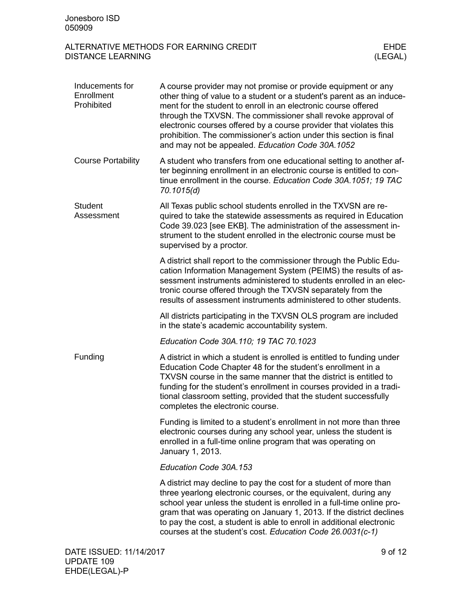| Inducements for<br>Enrollment<br>Prohibited | A course provider may not promise or provide equipment or any<br>other thing of value to a student or a student's parent as an induce-<br>ment for the student to enroll in an electronic course offered<br>through the TXVSN. The commissioner shall revoke approval of<br>electronic courses offered by a course provider that violates this<br>prohibition. The commissioner's action under this section is final<br>and may not be appealed. Education Code 30A.1052 |         |
|---------------------------------------------|--------------------------------------------------------------------------------------------------------------------------------------------------------------------------------------------------------------------------------------------------------------------------------------------------------------------------------------------------------------------------------------------------------------------------------------------------------------------------|---------|
| <b>Course Portability</b>                   | A student who transfers from one educational setting to another af-<br>ter beginning enrollment in an electronic course is entitled to con-<br>tinue enrollment in the course. Education Code 30A.1051; 19 TAC<br>70.1015(d)                                                                                                                                                                                                                                             |         |
| <b>Student</b><br>Assessment                | All Texas public school students enrolled in the TXVSN are re-<br>quired to take the statewide assessments as required in Education<br>Code 39.023 [see EKB]. The administration of the assessment in-<br>strument to the student enrolled in the electronic course must be<br>supervised by a proctor.                                                                                                                                                                  |         |
|                                             | A district shall report to the commissioner through the Public Edu-<br>cation Information Management System (PEIMS) the results of as-<br>sessment instruments administered to students enrolled in an elec-<br>tronic course offered through the TXVSN separately from the<br>results of assessment instruments administered to other students.                                                                                                                         |         |
|                                             | All districts participating in the TXVSN OLS program are included<br>in the state's academic accountability system.                                                                                                                                                                                                                                                                                                                                                      |         |
|                                             | Education Code 30A.110; 19 TAC 70.1023                                                                                                                                                                                                                                                                                                                                                                                                                                   |         |
| Funding                                     | A district in which a student is enrolled is entitled to funding under<br>Education Code Chapter 48 for the student's enrollment in a<br>TXVSN course in the same manner that the district is entitled to<br>funding for the student's enrollment in courses provided in a tradi-<br>tional classroom setting, provided that the student successfully<br>completes the electronic course.                                                                                |         |
|                                             | Funding is limited to a student's enrollment in not more than three<br>electronic courses during any school year, unless the student is<br>enrolled in a full-time online program that was operating on<br>January 1, 2013.                                                                                                                                                                                                                                              |         |
|                                             | Education Code 30A.153                                                                                                                                                                                                                                                                                                                                                                                                                                                   |         |
|                                             | A district may decline to pay the cost for a student of more than<br>three yearlong electronic courses, or the equivalent, during any<br>school year unless the student is enrolled in a full-time online pro-<br>gram that was operating on January 1, 2013. If the district declines<br>to pay the cost, a student is able to enroll in additional electronic<br>courses at the student's cost. Education Code 26.0031(c-1)                                            |         |
| DATE ISSUED: 11/14/2017                     |                                                                                                                                                                                                                                                                                                                                                                                                                                                                          | 9 of 12 |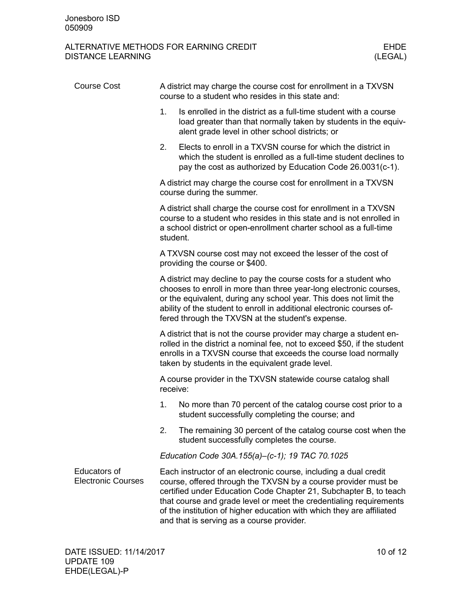| <b>Course Cost</b>                               | A district may charge the course cost for enrollment in a TXVSN<br>course to a student who resides in this state and:                                                                                                                                                                                                                                                                               |  |  |  |
|--------------------------------------------------|-----------------------------------------------------------------------------------------------------------------------------------------------------------------------------------------------------------------------------------------------------------------------------------------------------------------------------------------------------------------------------------------------------|--|--|--|
|                                                  | 1.<br>Is enrolled in the district as a full-time student with a course<br>load greater than that normally taken by students in the equiv-<br>alent grade level in other school districts; or                                                                                                                                                                                                        |  |  |  |
|                                                  | Elects to enroll in a TXVSN course for which the district in<br>2.<br>which the student is enrolled as a full-time student declines to<br>pay the cost as authorized by Education Code 26.0031(c-1).                                                                                                                                                                                                |  |  |  |
|                                                  | A district may charge the course cost for enrollment in a TXVSN<br>course during the summer.                                                                                                                                                                                                                                                                                                        |  |  |  |
|                                                  | A district shall charge the course cost for enrollment in a TXVSN<br>course to a student who resides in this state and is not enrolled in<br>a school district or open-enrollment charter school as a full-time<br>student.                                                                                                                                                                         |  |  |  |
|                                                  | A TXVSN course cost may not exceed the lesser of the cost of<br>providing the course or \$400.                                                                                                                                                                                                                                                                                                      |  |  |  |
|                                                  | A district may decline to pay the course costs for a student who<br>chooses to enroll in more than three year-long electronic courses,<br>or the equivalent, during any school year. This does not limit the<br>ability of the student to enroll in additional electronic courses of-<br>fered through the TXVSN at the student's expense.                                                          |  |  |  |
|                                                  | A district that is not the course provider may charge a student en-<br>rolled in the district a nominal fee, not to exceed \$50, if the student<br>enrolls in a TXVSN course that exceeds the course load normally<br>taken by students in the equivalent grade level.                                                                                                                              |  |  |  |
|                                                  | A course provider in the TXVSN statewide course catalog shall<br>receive:                                                                                                                                                                                                                                                                                                                           |  |  |  |
|                                                  | No more than 70 percent of the catalog course cost prior to a<br>1.<br>student successfully completing the course; and                                                                                                                                                                                                                                                                              |  |  |  |
|                                                  | 2.<br>The remaining 30 percent of the catalog course cost when the<br>student successfully completes the course.                                                                                                                                                                                                                                                                                    |  |  |  |
|                                                  | Education Code 30A.155(a)-(c-1); 19 TAC 70.1025                                                                                                                                                                                                                                                                                                                                                     |  |  |  |
| <b>Educators of</b><br><b>Electronic Courses</b> | Each instructor of an electronic course, including a dual credit<br>course, offered through the TXVSN by a course provider must be<br>certified under Education Code Chapter 21, Subchapter B, to teach<br>that course and grade level or meet the credentialing requirements<br>of the institution of higher education with which they are affiliated<br>and that is serving as a course provider. |  |  |  |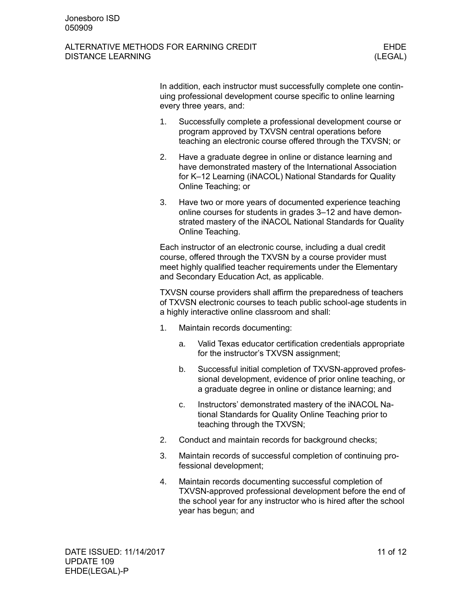#### ALTERNATIVE METHODS FOR EARNING CREDIT FOR THE REAL THREE FIDE DISTANCE LEARNING (LEGAL)

In addition, each instructor must successfully complete one continuing professional development course specific to online learning every three years, and:

- 1. Successfully complete a professional development course or program approved by TXVSN central operations before teaching an electronic course offered through the TXVSN; or
- 2. Have a graduate degree in online or distance learning and have demonstrated mastery of the International Association for K–12 Learning (iNACOL) National Standards for Quality Online Teaching; or
- 3. Have two or more years of documented experience teaching online courses for students in grades 3–12 and have demonstrated mastery of the iNACOL National Standards for Quality Online Teaching.

Each instructor of an electronic course, including a dual credit course, offered through the TXVSN by a course provider must meet highly qualified teacher requirements under the Elementary and Secondary Education Act, as applicable.

TXVSN course providers shall affirm the preparedness of teachers of TXVSN electronic courses to teach public school-age students in a highly interactive online classroom and shall:

- 1. Maintain records documenting:
	- a. Valid Texas educator certification credentials appropriate for the instructor's TXVSN assignment;
	- b. Successful initial completion of TXVSN-approved professional development, evidence of prior online teaching, or a graduate degree in online or distance learning; and
	- c. Instructors' demonstrated mastery of the iNACOL National Standards for Quality Online Teaching prior to teaching through the TXVSN;
- 2. Conduct and maintain records for background checks;
- 3. Maintain records of successful completion of continuing professional development;
- 4. Maintain records documenting successful completion of TXVSN-approved professional development before the end of the school year for any instructor who is hired after the school year has begun; and